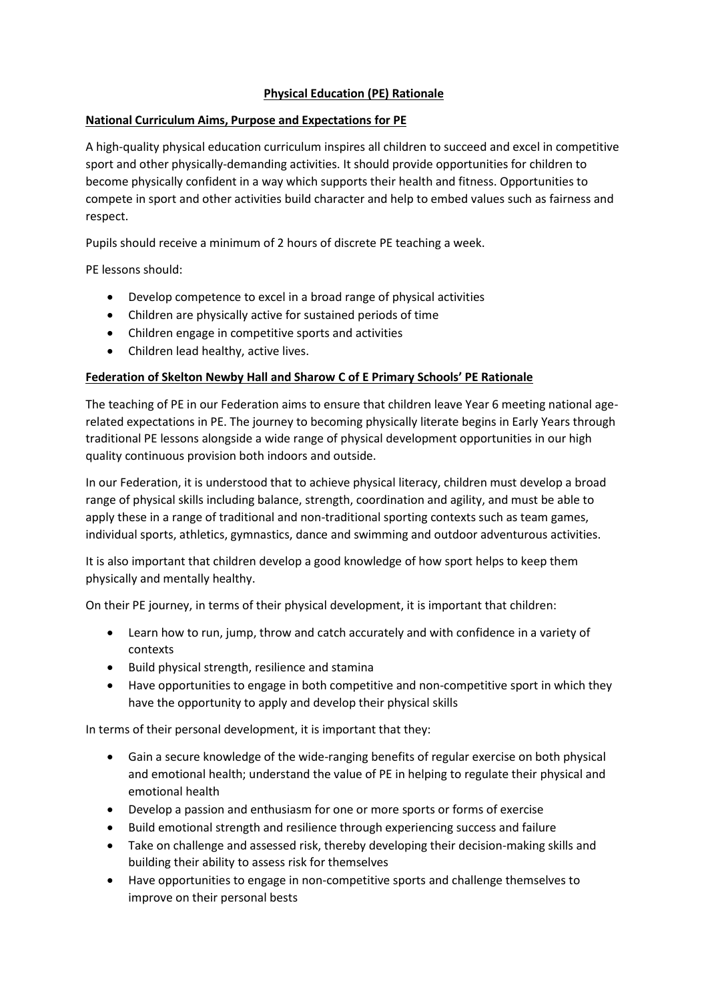## **Physical Education (PE) Rationale**

## **National Curriculum Aims, Purpose and Expectations for PE**

A high-quality physical education curriculum inspires all children to succeed and excel in competitive sport and other physically-demanding activities. It should provide opportunities for children to become physically confident in a way which supports their health and fitness. Opportunities to compete in sport and other activities build character and help to embed values such as fairness and respect.

Pupils should receive a minimum of 2 hours of discrete PE teaching a week.

PE lessons should:

- Develop competence to excel in a broad range of physical activities
- Children are physically active for sustained periods of time
- Children engage in competitive sports and activities
- Children lead healthy, active lives.

## **Federation of Skelton Newby Hall and Sharow C of E Primary Schools' PE Rationale**

The teaching of PE in our Federation aims to ensure that children leave Year 6 meeting national agerelated expectations in PE. The journey to becoming physically literate begins in Early Years through traditional PE lessons alongside a wide range of physical development opportunities in our high quality continuous provision both indoors and outside.

In our Federation, it is understood that to achieve physical literacy, children must develop a broad range of physical skills including balance, strength, coordination and agility, and must be able to apply these in a range of traditional and non-traditional sporting contexts such as team games, individual sports, athletics, gymnastics, dance and swimming and outdoor adventurous activities.

It is also important that children develop a good knowledge of how sport helps to keep them physically and mentally healthy.

On their PE journey, in terms of their physical development, it is important that children:

- Learn how to run, jump, throw and catch accurately and with confidence in a variety of contexts
- Build physical strength, resilience and stamina
- Have opportunities to engage in both competitive and non-competitive sport in which they have the opportunity to apply and develop their physical skills

In terms of their personal development, it is important that they:

- Gain a secure knowledge of the wide-ranging benefits of regular exercise on both physical and emotional health; understand the value of PE in helping to regulate their physical and emotional health
- Develop a passion and enthusiasm for one or more sports or forms of exercise
- Build emotional strength and resilience through experiencing success and failure
- Take on challenge and assessed risk, thereby developing their decision-making skills and building their ability to assess risk for themselves
- Have opportunities to engage in non-competitive sports and challenge themselves to improve on their personal bests